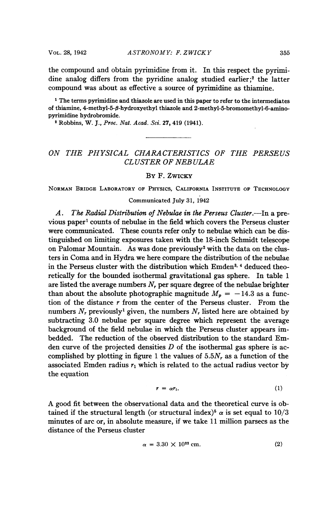the compound and obtain pyrimidine from it. In this respect the pyrimidine analog differs from the pyridine analog studied earlier;<sup>2</sup> the latter compound was about as effective a source of pyrimidine as thiamine.

<sup>1</sup> The terms pyrimidine and thiazole are used in this paper to refer to the intermediates of thiamine, 4-methyl-5- $\beta$ -hydroxyethyl thiazole and 2-methyl-5-bromomethyl-6-aminopyrimidine hydrobromide.

<sup>2</sup> Robbins, W. J., Proc. Nat. Acad. Sci. 27, 419 (1941).

# ON THE PHYSICAL CHARACTERISTICS OF THE PERSEUS CLUSTER OF NEB ULAE

BY F. ZwIcKY

NORMAN BRIDGE LABORATORY OF PHYSICS, CALIFORNIA INSTITUTE OF TECHNOLOGY

## Communicated July 31, 1942

A. The Radial Distribution of Nebulae in the Perseus Cluster.—In a previous paper' counts of nebulae in the field which covers the Perseus cluster were communicated. These counts refer only to nebulae which can be distinguished on limiting exposures taken with the 18-inch Schmidt telescope on Palomar Mountain. As was done previously<sup>2</sup> with the data on the clusters in Coma and in Hydra we here compare the distribution of the nebulae in the Perseus cluster with the distribution which Emden<sup>3, 4</sup> deduced theoretically for the bounded isothermal gravitational gas sphere. In table <sup>1</sup> are listed the average numbers  $N_r$  per square degree of the nebulae brighter than about the absolute photographic magnitude  $M_p = -14.3$  as a function of the distance  $r$  from the center of the Perseus cluster. From the numbers  $N_r$  previously<sup>1</sup> given, the numbers  $N_r$  listed here are obtained by subtracting 3.0 nebulae per square degree which represent the average background of the field nebulae in which the Perseus cluster appears imbedded. The reduction of the observed distribution to the standard Emden curve of the projected densities  $D$  of the isothermal gas sphere is accomplished by plotting in figure 1 the values of  $5.5N<sub>r</sub>$  as a function of the associated Emden radius  $r_1$  which is related to the actual radius vector by the equation

$$
r = \alpha r_1. \tag{1}
$$

A good fit between the observational data and the theoretical curve is obtained if the structural length (or structural index)<sup>5</sup>  $\alpha$  is set equal to 10/3 minutes of arc or, in absolute measure, if we take 11 million parsecs as the distance of the Perseus cluster

$$
\alpha = 3.30 \times 10^{22} \text{ cm.}
$$
 (2)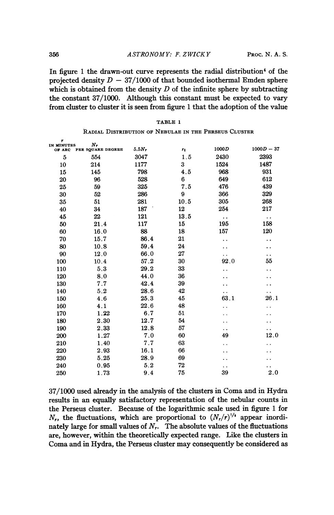In figure 1 the drawn-out curve represents the radial distribution<sup>4</sup> of the projected density  $D - 37/1000$  of that bounded isothermal Emden sphere which is obtained from the density  $D$  of the infinite sphere by subtracting the constant 37/1000. Although this constant must be expected to vary from cluster to cluster it is seen from figure <sup>1</sup> that the adoption of the value

| T                    |                            |          |       |                      |                      |
|----------------------|----------------------------|----------|-------|----------------------|----------------------|
| IN MINUTES<br>OF ARC | $N_r$<br>PER SQUARE DEGREE | $5.5N_r$ | $r_1$ | 1000D                | $1000D - 37$         |
| 5                    | 554                        | 3047     | 1.5   | 2430                 | 2393                 |
| 10                   | 214                        | 1177     | 3     | 1524                 | 1487                 |
| 15                   | 145                        | 798      | 4.5   | 968                  | 931                  |
| 20                   | 96                         | 528      | 6     | 649                  | 612                  |
| 25                   | 59                         | 325      | 7.5   | 476                  | 439                  |
| 30                   | 52                         | 286      | 9     | 366                  | 329                  |
| 35                   | 51                         | 281      | 10.5  | 305                  | 268                  |
| 40                   | 34                         | 187      | 12    | 254                  | 217                  |
| 45                   | 22                         | 121      | 13.5  | . .                  | $\ddotsc$            |
| 50                   | 21.4                       | 117      | 15    | 195                  | 158                  |
| 60                   | 16.0                       | 88       | 18    | 157                  | 120                  |
| 70                   | 15.7                       | 86.4     | 21    | . .                  | . .                  |
| 80                   | 10.8                       | 59.4     | 24    | . .                  | . .                  |
| 90                   | 12.0                       | 66.0     | 27    | $\ddot{\phantom{0}}$ | . .                  |
| 100                  | 10.4                       | 57.2     | 30    | 92.0                 | 55                   |
| 110                  | 5.3                        | 29.2     | 33    | . .                  | . .                  |
| 120                  | 8.0                        | 44.0     | 36    | . .                  | . .                  |
| 130                  | 7.7                        | 42.4     | 39    | . .                  | . .                  |
| 140                  | 5.2                        | 28.6     | 42    | $\ddot{\phantom{0}}$ | $\ddot{\phantom{0}}$ |
| 150                  | 4.6                        | 25.3     | 45    | 63.1                 | 26.1                 |
| 160                  | 4.1                        | 22.6     | 48    | . .                  | . .                  |
| 170                  | 1.22                       | 6.7      | 51    |                      |                      |
| 180                  | 2.30                       | 12.7     | 54    | . .                  | . .                  |
| 190                  | 2.33                       | 12.8     | 57    | $\ddot{\phantom{1}}$ | . .                  |
| 200                  | 1.27                       | 7.0      | 60    | 49                   | 12.0                 |
| 210                  | 1.40                       | 7.7      | 63    | ٠.                   | . .                  |
| 220                  | 2.93                       | 16.1     | 66    |                      | . .                  |
| 230                  | 5.25                       | 28.9     | 69    |                      | . .                  |
| 240                  | 0.95                       | 5.2      | 72    |                      |                      |
| 250                  | 1.73                       | 9.4      | 75    | 39                   | 2.0                  |

#### TABLE <sup>1</sup>

### RADIAL DISTRIBUTION OF NEBULAE IN THE PERSEUS CLUSTER

37/1000 used already in the analysis of the clusters in Coma and in Hydra results in an equally satisfactory representation of the nebular counts in the Perseus cluster. Because of the logarithmic scale used in figure <sup>1</sup> for N<sub>r</sub>, the fluctuations, which are proportional to  $(N_r/r)^{1/2}$  appear inordinately large for small values of  $N_r$ . The absolute values of the fluctuations are, however, within the theoretically expected range. Like the clusters in Coma and in Hydra, the Perseus cluster may consequently be considered as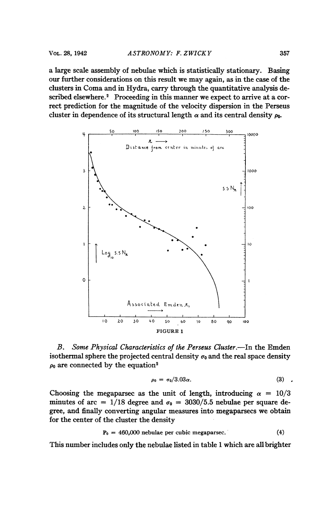a large scale assembly of nebulae which is statistically stationary. Basing our further considerations on this result we may again, as in the case of the clusters in Coma and in Hydra, carry through the quantitative analysis described elsewhere.<sup>2</sup> Proceeding in this manner we expect to arrive at a correct prediction for the magnitude of the velocity dispersion in the Perseus cluster in dependence of its structural length  $\alpha$  and its central density  $\rho_0$ .



B. Some Physical Characteristics of the Perseus Cluster.—In the Emden isothermal sphere the projected central density  $\sigma_0$  and the real space density  $\rho_0$  are connected by the equation<sup>2</sup>

$$
\rho_0 = \sigma_0/3.03\alpha. \tag{3}
$$

Choosing the megaparsec as the unit of length, introducing  $\alpha = 10/3$ minutes of arc = 1/18 degree and  $\sigma_0 = 3030/5.5$  nebulae per square degree, and finally converting angular measures into megaparsecs we obtain for the center of the cluster the density

 $P_0 = 460,000$  nebulae per cubic megaparsec. (4)

This number includes only the nebulae listed in table <sup>1</sup> which are all brighter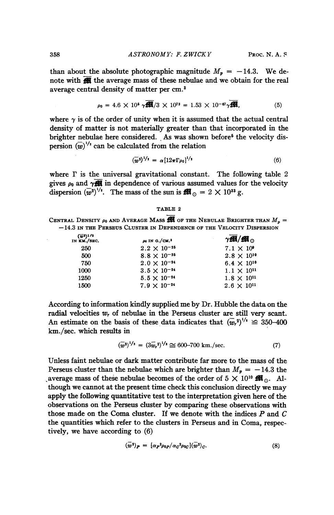than about the absolute photographic magnitude  $M_p = -14.3$ . We denote with  $\overline{A}$  the average mass of these nebulae and we obtain for the real average central density of matter per cm.3

$$
\rho_0 = 4.6 \times 10^5 \, \gamma \sqrt{34} / 3 \times 10^{73} = 1.53 \times 10^{-67} \gamma \sqrt{34} , \tag{5}
$$

where  $\gamma$  is of the order of unity when it is assumed that the actual central density of matter is not materially greater than that incorporated in the brighter nebulae here considered. As was shown before<sup>5</sup> the velocity dispersion  $\overline{(w)}^{1/2}$  can be calculated from the relation

$$
(\overline{w}^2)^{1/z} = \alpha [12\pi \Gamma \rho_0]^{1/z} \tag{6}
$$

where  $\Gamma$  is the universal gravitational constant. The following table  $2$ gives  $\rho_0$  and  $\gamma$ **II** in dependence of various assumed values for the velocity dispersion  $(\overline{w}^2)^{1/2}$ . The mass of the sun is  $\frac{d}{dx}$   $\circ$  = 2  $\times$  10<sup>33</sup> g.

#### TABLE <sup>2</sup>

CENTRAL DENSITY  $\rho_0$  and Average Mass  $\overline{M}$  of the Nebulae Brighter than  $M_p =$  $-14.3$  in the Perseus Cluster in Dependence of the Velocity Dispersion

| $(\vec{w}^2)^{1/2}$<br>IN KM./SEC. | $\rho_0$ IN G./CM. <sup>3</sup> | $\gamma$ 则/则 $_{\odot}$ |
|------------------------------------|---------------------------------|-------------------------|
| 250                                | $2.2 \times 10^{-25}$           | $7.1 \times 10^9$       |
| 500                                | $8.8 \times 10^{-25}$           | $2.8 \times 10^{10}$    |
| 750                                | $2.0 \times 10^{-24}$           | $6.4 \times 10^{10}$    |
| 1000                               | $3.5 \times 10^{-24}$           | $1.1 \times 10^{11}$    |
| 1250                               | $5.5 \times 10^{-24}$           | $1.8 \times 10^{11}$    |
| 1500                               | $7.9 \times 10^{-24}$           | $2.6 \times 10^{11}$    |
|                                    |                                 |                         |

According to information kindly supplied me by Dr. Hubble the data on the radial velocities  $w_r$ , of nebulae in the Perseus cluster are still very scant. An estimate on the basis of these data indicates that  $(\overline{w}_r^2)^{1/2} \approx 350-400$ km./sec. which results in

$$
(\overline{w}^2)^{1/2} = (3\overline{w}_r^2)^{1/2} \cong 600-700 \text{ km./sec.}
$$
 (7)

Unless faint nebulae or dark matter contribute far more to the mass of the Perseus cluster than the nebulae which are brighter than  $M_p = -14.3$  the average mass of these nebulae becomes of the order of  $5 \times 10^{10}$   $\text{H\#}_\odot$ . Although we cannot at the present time check this conclusion directly we may apply the following quantitative test to the interpretation given here of the observations on the Perseus cluster by comparing these observations with those made on the Coma cluster. If we denote with the indices  $P$  and  $C$ the quantities which refer to the clusters in Perseus and in Coma, respectively, we have according to (6)

$$
(\overline{w}^2)_P = [\alpha_P^2 \rho_{0P} / \alpha_C^2 \rho_{0C}] (\overline{w}^2)_C. \tag{8}
$$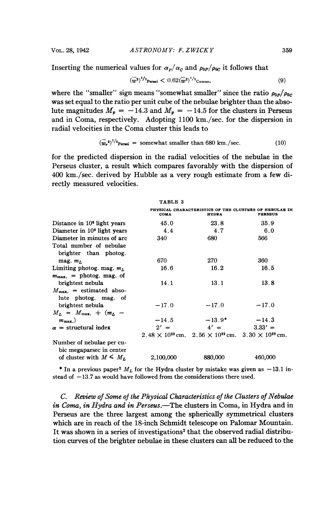Inserting the numerical values for  $\alpha_P/\alpha_c$  and  $\rho_{0P}/\rho_{0C}$  it follows that

$$
(\overline{w}^2)^{1/2} \text{Persei} < 0.62 (\overline{w}^2)^{1/2} \text{Comac},\tag{9}
$$

where the "smaller" sign means "somewhat smaller" since the ratio  $\rho_{0p}/\rho_{0c}$ was set equal to the ratio per unit cube of the nebulae brighter than the absolute magnitudes  $M_p = -14.3$  and  $M_p = -14.5$  for the clusters in Perseus and in Coma, respectively. Adopting 1100 km./sec. for the dispersion in radial velocities in the Coma cluster this leads to

$$
(\overline{w_r}^2)^{1/2}
$$
Persei = somewhat smaller than 680 km./sec. (10)

for the predicted dispersion in the radial velocities of the nebulae in the Perseus cluster, a result which compares favorably with the dispersion of 400 km./sec. derived by Hubble as a very rough estimate from a few directly measured velocities.

|                                                       | TABLE 3   |                                                                               |                                                                          |
|-------------------------------------------------------|-----------|-------------------------------------------------------------------------------|--------------------------------------------------------------------------|
|                                                       | COMA      | <b>HYDRA</b>                                                                  | PHYSICAL CHARACTERISTICS OF THE CLUSTERS OF NEBULAE IN<br><b>PERSEUS</b> |
| Distance in 10 <sup>6</sup> light years               | 45.0      | 23.8                                                                          | 35.9                                                                     |
| Diameter in 10 <sup>6</sup> light years               | 4.4       | 4.7                                                                           | 6.0                                                                      |
| Diameter in minutes of arc                            | 340       | 680                                                                           | 566                                                                      |
| Total number of nebulae<br>brighter than photog.      |           |                                                                               |                                                                          |
| mag. $mL$                                             | 670       | 270                                                                           | 360                                                                      |
| Limiting photog. mag. $mL$                            | 16.6      | 16.2                                                                          | 16.5                                                                     |
| $m_{\text{max}}$ = photog. mag. of                    |           |                                                                               |                                                                          |
| brightest nebula                                      | 14.1      | 13.1                                                                          | 13.8                                                                     |
| $M_{\rm max}$ = estimated abso-                       |           |                                                                               |                                                                          |
| lute photog. mag. of                                  |           |                                                                               |                                                                          |
| brightest nebula                                      | $-17.0$   | $-17.0$                                                                       | $-17.0$                                                                  |
| $M_L = M_{\text{max}} + (m_L -$                       |           |                                                                               |                                                                          |
| $m_{\text{max}}$ )                                    | $-14.5$   | $-13.9*$                                                                      | $-14.3$                                                                  |
| $\alpha$ = structural index                           | $2' =$    | $4' =$                                                                        | $3.33' =$                                                                |
|                                                       |           | $2.48 \times 10^{22}$ cm. $2.56 \times 10^{22}$ cm. $3.30 \times 10^{22}$ cm. |                                                                          |
| Number of nebulae per cu-<br>bic megaparsec in center |           |                                                                               |                                                                          |
| of cluster with $M \leq M_L$                          | 2,100,000 | 880,000                                                                       | 460,000                                                                  |

\* In a previous paper<sup>2</sup>  $M_L$  for the Hydra cluster by mistake was given as  $-13.1$  instead of  $-13.7$  as would have followed from the considerations there used.

C. Review of Some of the Physical Characteristics of the Clusters of Nebulae in Coma, in Hydra and in Perseus.-The clusters in Coma, in Hydra and in Perseus are the three largest among the spherically symmetrical clusters which are in reach of the 18-inch Schmidt telescope on Palomar Mountain. It was shown in a series of investigations<sup>2</sup> that the observed radial distribution curves of the brighter nebulae in these clusters can all be reduced to the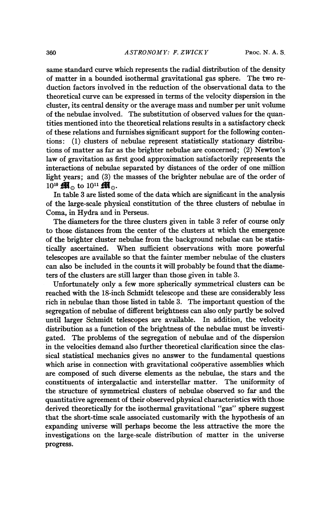same standard curve which represents the radial distribution of the density of matter in a bounded isothermal gravitational gas sphere. The two reduction factors involved in the reduction of the observational data to the theoretical curve can be expressed in terms of the velocity dispersion in the cluster, its central density or the average mass and number per unit volume of the nebulae involved. The substitution of observed values for the quantities mentioned into the theoretical relations results in a satisfactory check of these relations and furnishes significant support for the following contentions: (1) clusters of nebulae represent statistically stationary distributions of matter as far as the brighter nebulae are concerned; (2) Newton's law of gravitation as first good approximation satisfactorily represents the interactions of nebulae separated by distances of the order of one million light years; and (3) the masses of the brighter nebulae are of the order of 10<sup>10</sup> **M**<sub>0</sub> to 10<sup>11</sup> **M**<sub>0</sub>.

In table 3 are listed some of the data which are significant in the analysis of the large-scale physical constitution of the three clusters of nebulae in Coma, in Hydra and in Perseus.

The diameters for the three clusters given in table 3 refer of course only to those distances from the center of the clusters at which the emergence of the brighter cluster nebulae from the background nebulae can be statistically ascertained. When sufficient observations with more powerful telescopes are available so that the fainter member nebulae of the clusters can also be included in the counts it will probably be found that the diameters of the clusters are still larger than those given in table 3.

Unfortunately only a few more spherically symmetrical clusters can be reached with the 18-inch Schmidt telescope and these are considerably less rich in nebulae than those listed in table 3. The important question of the segregation of nebulae of different brightness can also only partly be solved until larger Schmidt telescopes are available. In addition, the velocity distribution as a function of the brightness of the nebulae must be investigated. The problems of the segregation of nebulae and of the dispersion in the velocities demand also further theoretical clarification since the classical statistical mechanics gives no answer to the fundamental questions which arise in connection with gravitational coöperative assemblies which are composed of such diverse elements as the nebulae, the stars and the constituents of intergalactic and interstellar matter. The uniformity of the structure of symmetrical clusters of nebulae observed so far and the quantitative agreement of their observed physical characteristics with those derived theoretically for the isothermal gravitational "gas" sphere suggest that the short-time scale associated customarily with the hypothesis of an expanding universe will perhaps become the less attractive the more the investigations on the large-scale distribution of matter in the universe progress.